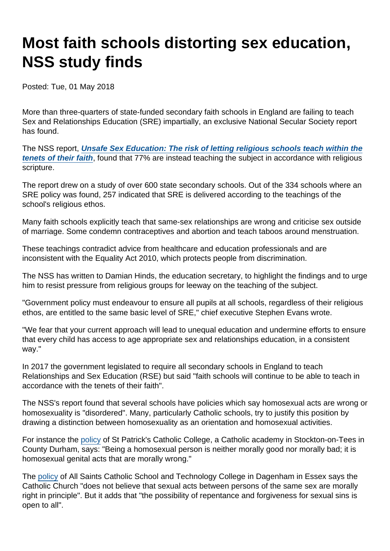# Most faith schools distorting sex education, NSS study finds

Posted: Tue, 01 May 2018

More than three-quarters of state-funded secondary faith schools in England are failing to teach Sex and Relationships Education (SRE) impartially, an exclusive National Secular Society report has found.

The NSS report, [Unsafe Sex Education: The risk of letting religious schools teach within the](https://www.secularism.org.uk/uploads/unsafe-sex-report-april-2018.pdf) [tenets of their faith](https://www.secularism.org.uk/uploads/unsafe-sex-report-april-2018.pdf) , found that 77% are instead teaching the subject in accordance with religious scripture.

The report drew on a study of over 600 state secondary schools. Out of the 334 schools where an SRE policy was found, 257 indicated that SRE is delivered according to the teachings of the school's religious ethos.

Many faith schools explicitly teach that same-sex relationships are wrong and criticise sex outside of marriage. Some condemn contraceptives and abortion and teach taboos around menstruation.

These teachings contradict advice from healthcare and education professionals and are inconsistent with the Equality Act 2010, which protects people from discrimination.

The NSS has written to Damian Hinds, the education secretary, to highlight the findings and to urge him to resist pressure from religious groups for leeway on the teaching of the subject.

"Government policy must endeavour to ensure all pupils at all schools, regardless of their religious ethos, are entitled to the same basic level of SRE," chief executive Stephen Evans wrote.

"We fear that your current approach will lead to unequal education and undermine efforts to ensure that every child has access to age appropriate sex and relationships education, in a consistent way."

In 2017 the government legislated to require all secondary schools in England to teach Relationships and Sex Education (RSE) but said "faith schools will continue to be able to teach in accordance with the tenets of their faith".

The NSS's report found that several schools have policies which say homosexual acts are wrong or homosexuality is "disordered". Many, particularly Catholic schools, try to justify this position by drawing a distinction between homosexuality as an orientation and homosexual activities.

For instance the [policy](http://stpatrickscc.org/wp-content/uploads/2016/07/RSEPolicy2016.pdf) of St Patrick's Catholic College, a Catholic academy in Stockton-on-Tees in County Durham, says: "Being a homosexual person is neither morally good nor morally bad; it is homosexual genital acts that are morally wrong."

The [policy](http://www.allsaintsschool.co.uk/policies.html) of All Saints Catholic School and Technology College in Dagenham in Essex says the Catholic Church "does not believe that sexual acts between persons of the same sex are morally right in principle". But it adds that "the possibility of repentance and forgiveness for sexual sins is open to all".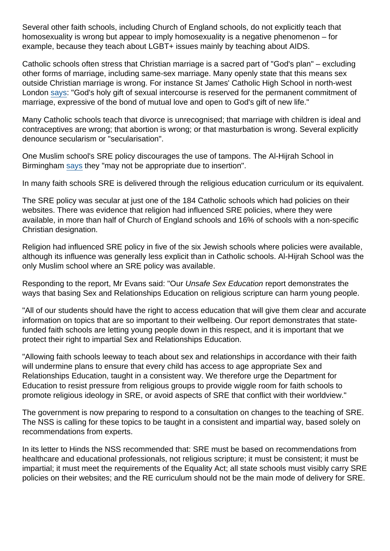Several other faith schools, including Church of England schools, do not explicitly teach that homosexuality is wrong but appear to imply homosexuality is a negative phenomenon – for example, because they teach about LGBT+ issues mainly by teaching about AIDS.

Catholic schools often stress that Christian marriage is a sacred part of "God's plan" – excluding other forms of marriage, including same-sex marriage. Many openly state that this means sex outside Christian marriage is wrong. For instance St James' Catholic High School in north-west London [says](http://www.st-james.barnet.sch.uk/244/policies): "God's holy gift of sexual intercourse is reserved for the permanent commitment of marriage, expressive of the bond of mutual love and open to God's gift of new life."

Many Catholic schools teach that divorce is unrecognised; that marriage with children is ideal and contraceptives are wrong; that abortion is wrong; or that masturbation is wrong. Several explicitly denounce secularism or "secularisation".

One Muslim school's SRE policy discourages the use of tampons. The Al-Hijrah School in Birmingham [says](http://alhijrahschool.co.uk/wp-content/uploads/2018/03/Sex-Relationships-Education-Policy-2017.pdf) they "may not be appropriate due to insertion".

In many faith schools SRE is delivered through the religious education curriculum or its equivalent.

The SRE policy was secular at just one of the 184 Catholic schools which had policies on their websites. There was evidence that religion had influenced SRE policies, where they were available, in more than half of Church of England schools and 16% of schools with a non-specific Christian designation.

Religion had influenced SRE policy in five of the six Jewish schools where policies were available, although its influence was generally less explicit than in Catholic schools. Al-Hijrah School was the only Muslim school where an SRE policy was available.

Responding to the report, Mr Evans said: "Our Unsafe Sex Education report demonstrates the ways that basing Sex and Relationships Education on religious scripture can harm young people.

"All of our students should have the right to access education that will give them clear and accurate information on topics that are so important to their wellbeing. Our report demonstrates that statefunded faith schools are letting young people down in this respect, and it is important that we protect their right to impartial Sex and Relationships Education.

"Allowing faith schools leeway to teach about sex and relationships in accordance with their faith will undermine plans to ensure that every child has access to age appropriate Sex and Relationships Education, taught in a consistent way. We therefore urge the Department for Education to resist pressure from religious groups to provide wiggle room for faith schools to promote religious ideology in SRE, or avoid aspects of SRE that conflict with their worldview."

The government is now preparing to respond to a consultation on changes to the teaching of SRE. The NSS is calling for these topics to be taught in a consistent and impartial way, based solely on recommendations from experts.

In its letter to Hinds the NSS recommended that: SRE must be based on recommendations from healthcare and educational professionals, not religious scripture; it must be consistent; it must be impartial; it must meet the requirements of the Equality Act; all state schools must visibly carry SRE policies on their websites; and the RE curriculum should not be the main mode of delivery for SRE.